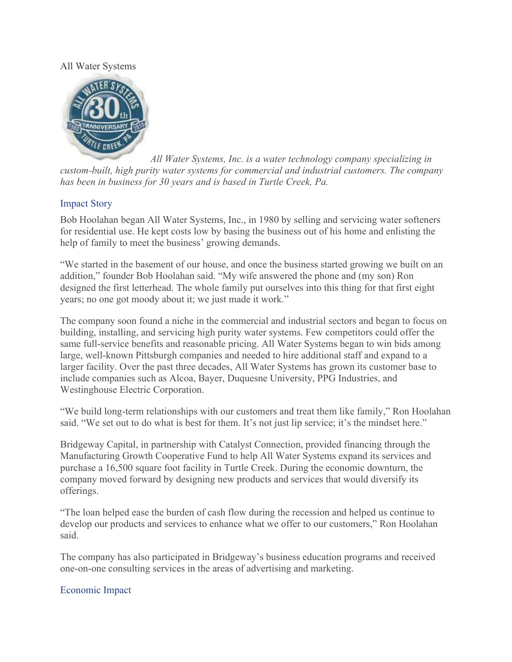## All Water Systems



*All Water Systems, Inc. is a water technology company specializing in custom-built, high purity water systems for commercial and industrial customers. The company has been in business for 30 years and is based in Turtle Creek, Pa.* 

## Impact Story

Bob Hoolahan began All Water Systems, Inc., in 1980 by selling and servicing water softeners for residential use. He kept costs low by basing the business out of his home and enlisting the help of family to meet the business' growing demands.

"We started in the basement of our house, and once the business started growing we built on an addition," founder Bob Hoolahan said. "My wife answered the phone and (my son) Ron designed the first letterhead. The whole family put ourselves into this thing for that first eight years; no one got moody about it; we just made it work."

The company soon found a niche in the commercial and industrial sectors and began to focus on building, installing, and servicing high purity water systems. Few competitors could offer the same full-service benefits and reasonable pricing. All Water Systems began to win bids among large, well-known Pittsburgh companies and needed to hire additional staff and expand to a larger facility. Over the past three decades, All Water Systems has grown its customer base to include companies such as Alcoa, Bayer, Duquesne University, PPG Industries, and Westinghouse Electric Corporation.

"We build long-term relationships with our customers and treat them like family," Ron Hoolahan said. "We set out to do what is best for them. It's not just lip service; it's the mindset here."

Bridgeway Capital, in partnership with Catalyst Connection, provided financing through the Manufacturing Growth Cooperative Fund to help All Water Systems expand its services and purchase a 16,500 square foot facility in Turtle Creek. During the economic downturn, the company moved forward by designing new products and services that would diversify its offerings.

"The loan helped ease the burden of cash flow during the recession and helped us continue to develop our products and services to enhance what we offer to our customers," Ron Hoolahan said.

The company has also participated in Bridgeway's business education programs and received one-on-one consulting services in the areas of advertising and marketing.

## Economic Impact